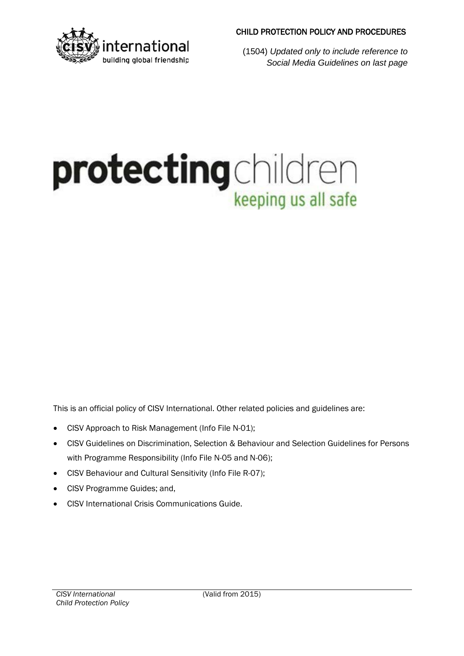# protecting children

- $\bullet$
- 
- 
- 
-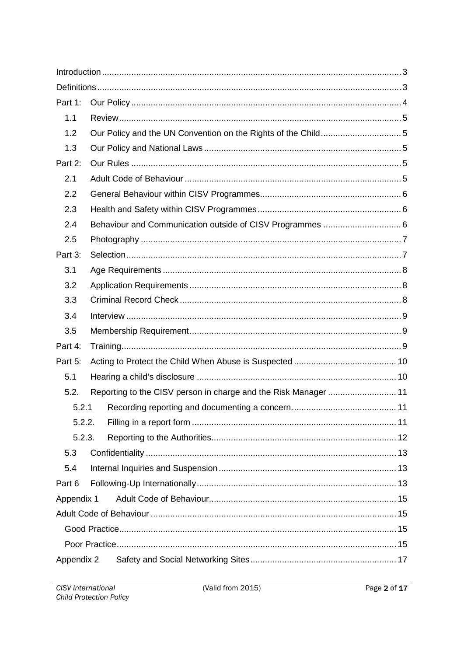| Part 1:          |                                                               |  |
|------------------|---------------------------------------------------------------|--|
| 1.1              |                                                               |  |
| 1.2              | Our Policy and the UN Convention on the Rights of the Child5  |  |
| 1.3              |                                                               |  |
| Part 2:          |                                                               |  |
| 2.1              |                                                               |  |
| $2.2\phantom{0}$ |                                                               |  |
| 2.3              |                                                               |  |
| 2.4              |                                                               |  |
| 2.5              |                                                               |  |
| Part 3:          |                                                               |  |
| 3.1              |                                                               |  |
| 3.2              |                                                               |  |
| 3.3              |                                                               |  |
| 3.4              |                                                               |  |
| 3.5              |                                                               |  |
| Part 4:          |                                                               |  |
| Part 5:          |                                                               |  |
| 5.1              |                                                               |  |
| 5.2.             | Reporting to the CISV person in charge and the Risk Manager11 |  |
| 5.2.1            |                                                               |  |
| 5.2.2.           |                                                               |  |
| 5.2.3.           |                                                               |  |
| 5.3              |                                                               |  |
| 5.4              |                                                               |  |
| Part 6           |                                                               |  |
| Appendix 1       |                                                               |  |
|                  |                                                               |  |
|                  |                                                               |  |
|                  |                                                               |  |
| Appendix 2       |                                                               |  |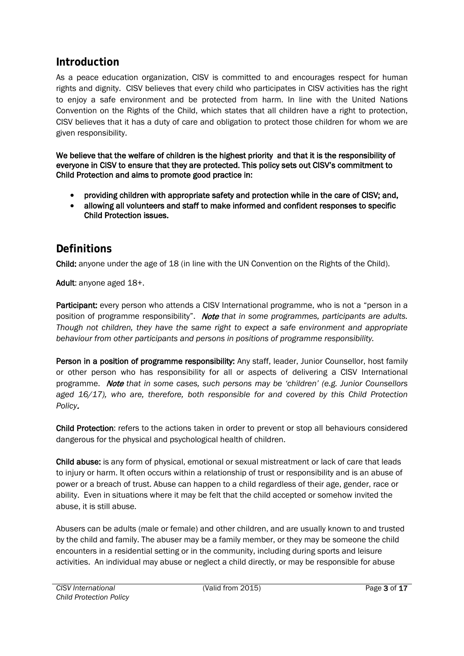# <span id="page-2-0"></span>**Introduction**

As a peace education organization, CISV is committed to and encourages respect for human rights and dignity. CISV believes that every child who participates in CISV activities has the right to enjoy a safe environment and be protected from harm. In line with the United Nations Convention on the Rights of the Child, which states that all children have a right to protection, CISV believes that it has a duty of care and obligation to protect those children for whom we are given responsibility.

We believe that the welfare of children is the highest priority and that it is the responsibility of everyone in CISV to ensure that they are protected. This policy sets out CISV's commitment to Child Protectionandaims to promote good practice in:

- providing children with appropriate safety and protection while in the care of CISV; and,
- allowing all volunteers and staff to make informedandconfident responses to specific Child Protection issues.

# <span id="page-2-1"></span>**Definitions**

Child: anyone under the age of 18 (in line with the UN Convention on the Rights of the Child).

Adult: anyone aged 18+.

Participant: every person who attends a CISV International programme, who is not a "person in a position of programme responsibility". Note that in some programmes, participants are adults. Though not children, they have the same right to expect a safe environment and appropriate behaviour from other participants and persons in positions of programme responsibility.

Person in a position of programme responsibility: Any staff, leader, Junior Counsellor, host family or other person who has responsibility for all or aspects of delivering a CISV International programme. Note that in some cases, such persons may be 'children' (e.g. Junior Counsellors aged 16/17), who are, therefore, both responsible for and covered by this Child Protection Policy.

Child Protection: refers to the actions taken in order to prevent or stop all behaviours considered dangerous for the physical and psychological health of children.

Child abuse: is any form of physical, emotional or sexual mistreatment or lack of care that leads to injury or harm. It often occurs within a relationship of trust or responsibility and is an abuse of power or a breach of trust. Abuse can happen to a child regardless of their age, gender, race or ability. Even in situations where it may be felt that the child accepted or somehow invited the abuse, it is still abuse.

Abusers can be adults (male or female) and other children, and are usually known to and trusted by the child and family. The abuser may be a family member, or they may be someone the child encounters in a residential setting or in the community, including during sports and leisure activities. An individual may abuse or neglect a child directly, or may be responsible for abuse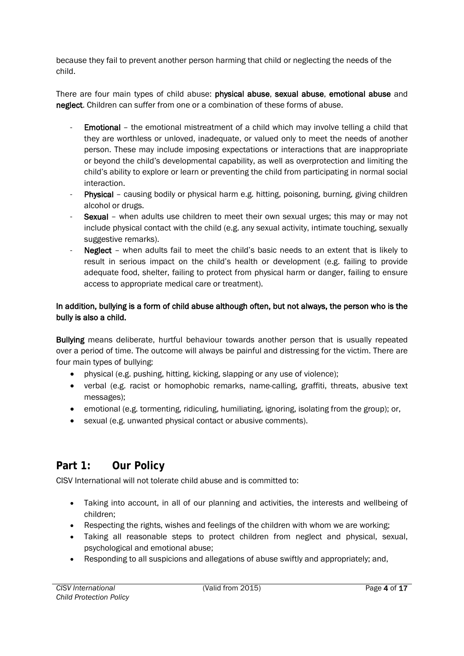because they fail to prevent another person harming that child or neglecting the needs of the child.

There are four main types of child abuse: physical abuse, sexual abuse, emotional abuse and neglect. Children can suffer from one or a combination of these forms of abuse.

- Emotional the emotional mistreatment of a child which may involve telling a child that they are worthless or unloved, inadequate, or valued only to meet the needs of another person. These may include imposing expectations or interactions that are inappropriate or beyond the child's developmental capability, as well as overprotection and limiting the child's ability to explore or learn or preventing the child from participating in normal social interaction.
- Physical causing bodily or physical harm e.g. hitting, poisoning, burning, giving children alcohol or drugs.
- Sexual when adults use children to meet their own sexual urges; this may or may not include physical contact with the child (e.g. any sexual activity, intimate touching, sexually suggestive remarks).
- Neglect when adults fail to meet the child's basic needs to an extent that is likely to result in serious impact on the child's health or development (e.g. failing to provide adequate food, shelter, failing to protect from physical harm or danger, failing to ensure access to appropriate medical care or treatment).

In addition, bullying is a form of child abuse although often, but not always, the person who is the bully is alsoa child.

Bullying means deliberate, hurtful behaviour towards another person that is usually repeated over a period of time. The outcome will always be painful and distressing for the victim. There are four main types of bullying:

- physical (e.g. pushing, hitting, kicking, slapping or any use of violence);
- verbal (e.g. racist or homophobic remarks, name-calling, graffiti, threats, abusive text messages);
- emotional (e.g. tormenting, ridiculing, humiliating, ignoring, isolating from the group); or,
- sexual (e.g. unwanted physical contact or abusive comments).

# <span id="page-3-0"></span>**Part 1: Our Policy**

CISV International will not tolerate child abuse and is committed to:

- Taking into account, in all of our planning and activities, the interests and wellbeing of children;
- Respecting the rights, wishes and feelings of the children with whom we are working;
- Taking all reasonable steps to protect children from neglect and physical, sexual, psychological and emotional abuse;
- Responding to all suspicions and allegations of abuse swiftly and appropriately; and,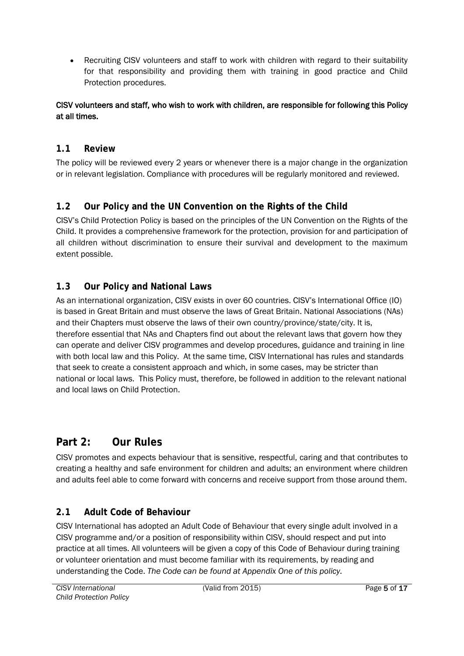• Recruiting CISV volunteers and staff to work with children with regard to their suitability for that responsibility and providing them with training in good practice and Child Protection procedures.

CISV volunteers and staff,who wish to work with children, are responsible for following this Policy at all times.

### <span id="page-4-0"></span>**1.1 Review**

The policy will be reviewed every 2 years or whenever there is a major change in the organization or in relevant legislation. Compliance with procedures will be regularly monitored and reviewed.

# <span id="page-4-1"></span>**1.2 Our Policy and the UN Convention on the Rights of the Child**

CISV's Child Protection Policy is based on the principles of the UN Convention on the Rights of the Child. It provides a comprehensive framework for the protection, provision for and participation of all children without discrimination to ensure their survival and development to the maximum extent possible.

# <span id="page-4-2"></span>**1.3 Our Policy and National Laws**

As an international organization, CISV exists in over 60 countries. CISV's International Office (IO) is based in Great Britain and must observe the laws of Great Britain. National Associations (NAs) and their Chapters must observe the laws of their own country/province/state/city. It is, therefore essential that NAs and Chapters find out about the relevant laws that govern how they can operate and deliver CISV programmes and develop procedures, guidance and training in line with both local law and this Policy. At the same time, CISV International has rules and standards that seek to create a consistent approach and which, in some cases, may be stricter than national or local laws. This Policy must, therefore, be followed in addition to the relevant national and local laws on Child Protection.

# <span id="page-4-3"></span>**Part 2: Our Rules**

CISV promotes and expects behaviour that is sensitive, respectful, caring and that contributes to creating a healthy and safe environment for children and adults; an environment where children and adults feel able to come forward with concerns and receive support from those around them.

# <span id="page-4-4"></span>**2.1 Adult Code of Behaviour**

CISV International has adopted an Adult Code of Behaviour that every single adult involved in a CISV programme and/or a position of responsibility within CISV, should respect and put into practice at all times. All volunteers will be given a copy of this Code of Behaviour during training or volunteer orientation and must become familiar with its requirements, by reading and understanding the Code. The Code can be found at Appendix One of this policy.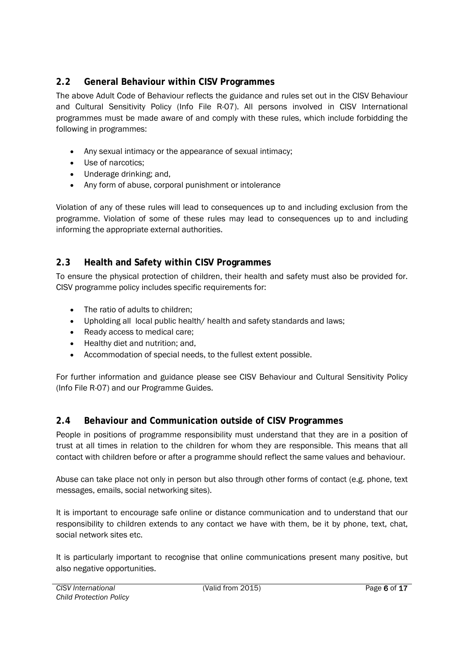#### <span id="page-5-0"></span>**2.2 General Behaviour within CISV Programmes**

The above Adult Code of Behaviour reflects the guidance and rules set out in the CISV Behaviour and Cultural Sensitivity Policy (Info File R-07). All persons involved in CISV International programmes must be made aware of and comply with these rules, which include forbidding the following in programmes:

- Any sexual intimacy or the appearance of sexual intimacy;
- Use of narcotics;
- Underage drinking; and,
- Any form of abuse, corporal punishment or intolerance

Violation of any of these rules will lead to consequences up to and including exclusion from the programme. Violation of some of these rules may lead to consequences up to and including informing the appropriate external authorities.

# <span id="page-5-1"></span>**2.3 Health and Safety within CISV Programmes**

To ensure the physical protection of children, their health and safety must also be provided for. CISV programme policy includes specific requirements for:

- The ratio of adults to children;
- Upholding all local public health/ health and safety standards and laws;
- Ready access to medical care;
- Healthy diet and nutrition; and,
- Accommodation of special needs, to the fullest extent possible.

For further information and guidance please see CISV Behaviour and Cultural Sensitivity Policy (Info File R-07) and our Programme Guides.

# <span id="page-5-2"></span>**2.4 Behaviour and Communication outside of CISV Programmes**

People in positions of programme responsibility must understand that they are in a position of trust at all times in relation to the children for whom they are responsible. This means that all contact with children before or after a programme should reflect the same values and behaviour.

Abuse can take place not only in person but also through other forms of contact (e.g. phone, text messages, emails, social networking sites).

It is important to encourage safe online or distance communication and to understand that our responsibility to children extends to any contact we have with them, be it by phone, text, chat, social network sites etc.

It is particularly important to recognise that online communications present many positive, but also negative opportunities.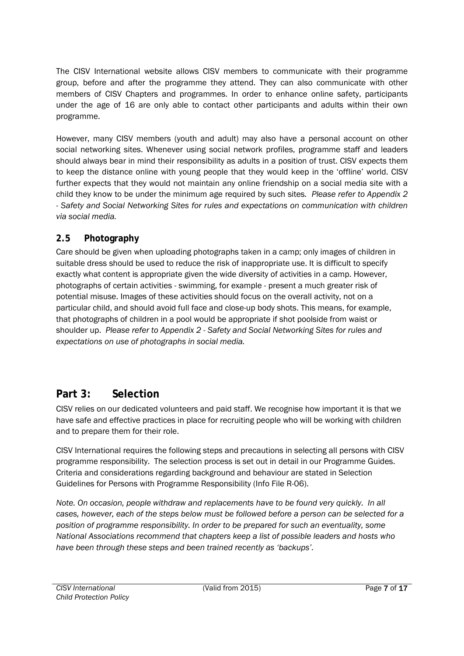The CISV International website allows CISV members to communicate with their programme group, before and after the programme they attend. They can also communicate with other members of CISV Chapters and programmes. In order to enhance online safety, participants under the age of 16 are only able to contact other participants and adults within their own programme.

However, many CISV members (youth and adult) may also have a personal account on other social networking sites. Whenever using social network profiles, programme staff and leaders should always bear in mind their responsibility as adults in a position of trust. CISV expects them to keep the distance online with young people that they would keep in the 'offline' world. CISV further expects that they would not maintain any online friendship on a social media site with a child they know to be under the minimum age required by such sites. Please refer to Appendix 2 - Safety and Social Networking Sites for rules and expectations on communication with children via social media.

#### <span id="page-6-0"></span>2.5 Photography

Care should be given when uploading photographs taken in a camp; only images of children in suitable dress should be used to reduce the risk of inappropriate use. It is difficult to specify exactly what content is appropriate given the wide diversity of activities in a camp. However, photographs of certain activities - swimming, for example - present a much greater risk of potential misuse. Images of these activities should focus on the overall activity, not on a particular child, and should avoid full face and close-up body shots. This means, for example, that photographs of children in a pool would be appropriate if shot poolside from waist or shoulder up. Please refer to Appendix 2 - Safety and Social Networking Sites for rules and expectations on use of photographs in social media.

# <span id="page-6-1"></span>**Part 3: Selection**

CISV relies on our dedicated volunteers and paid staff. We recognise how important it is that we have safe and effective practices in place for recruiting people who will be working with children and to prepare them for their role.

CISV International requires the following steps and precautions in selecting all persons with CISV programme responsibility. The selection process is set out in detail in our Programme Guides. Criteria and considerations regarding background and behaviour are stated in Selection Guidelines for Persons with Programme Responsibility (Info File R-06).

Note. On occasion, people withdraw and replacements have to be found very quickly. In all cases, however, each of the steps below must be followed before a person can be selected for a position of programme responsibility. In order to be prepared for such an eventuality, some National Associations recommend that chapters keep a list of possible leaders and hosts who have been through these steps and been trained recently as 'backups'.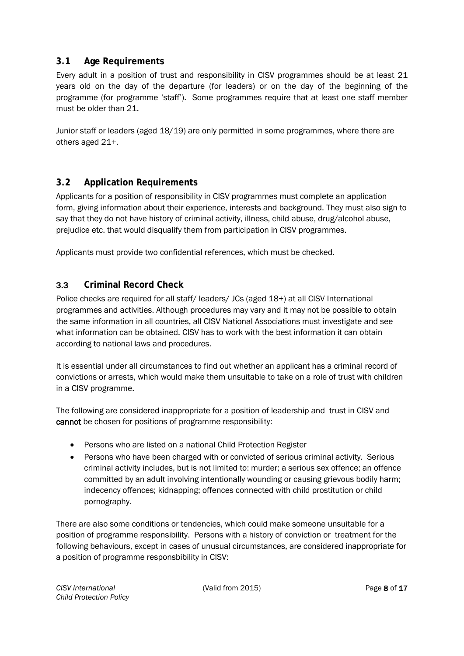#### <span id="page-7-0"></span>**3.1 Age Requirements**

Every adult in a position of trust and responsibility in CISV programmes should be at least 21 years old on the day of the departure (for leaders) or on the day of the beginning of the programme (for programme 'staff'). Some programmes require that at least one staff member must be older than 21.

Junior staff or leaders (aged 18/19) are only permitted in some programmes, where there are others aged 21+.

#### <span id="page-7-1"></span>**3.2 Application Requirements**

Applicants for a position of responsibility in CISV programmes must complete an application form, giving information about their experience, interests and background. They must also sign to say that they do not have history of criminal activity, illness, child abuse, drug/alcohol abuse, prejudice etc. that would disqualify them from participation in CISV programmes.

Applicants must provide two confidential references, which must be checked.

#### <span id="page-7-2"></span>**3.3 Criminal Record Check**

Police checks are required for all staff/ leaders/ JCs (aged 18+) at all CISV International programmes and activities. Although procedures may vary and it may not be possible to obtain the same information in all countries, all CISV National Associations must investigate and see what information can be obtained. CISV has to work with the best information it can obtain according to national laws and procedures.

It is essential under all circumstances to find out whether an applicant has a criminal record of convictions or arrests, which would make them unsuitable to take on a role of trust with children in a CISV programme.

The following are considered inappropriate for a position of leadership and trust in CISV and cannot be chosen for positions of programme responsibility:

- Persons who are listed on a national Child Protection Register
- Persons who have been charged with or convicted of serious criminal activity. Serious criminal activity includes, but is not limited to: murder; a serious sex offence; an offence committed by an adult involving intentionally wounding or causing grievous bodily harm; indecency offences; kidnapping; offences connected with child prostitution or child pornography.

There are also some conditions or tendencies, which could make someone unsuitable for a position of programme responsibility. Persons with a history of conviction or treatment for the following behaviours, except in cases of unusual circumstances, are considered inappropriate for a position of programme responsbibility in CISV: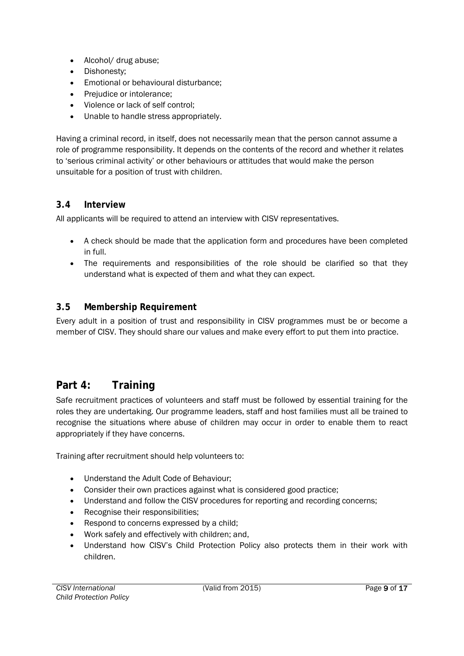- Alcohol/ drug abuse;
- Dishonesty;
- Emotional or behavioural disturbance;
- Prejudice or intolerance:
- Violence or lack of self control;
- Unable to handle stress appropriately.

Having a criminal record, in itself, does not necessarily mean that the person cannot assume a role of programme responsibility. It depends on the contents of the record and whether it relates to 'serious criminal activity' or other behaviours or attitudes that would make the person unsuitable for a position of trust with children.

#### <span id="page-8-0"></span>**3.4 Interview**

All applicants will be required to attend an interview with CISV representatives.

- A check should be made that the application form and procedures have been completed in full.
- The requirements and responsibilities of the role should be clarified so that they understand what is expected of them and what they can expect.

#### <span id="page-8-1"></span>**3.5 Membership Requirement**

Every adult in a position of trust and responsibility in CISV programmes must be or become a member of CISV. They should share our values and make every effort to put them into practice.

# <span id="page-8-2"></span>**Part 4: Training**

Safe recruitment practices of volunteers and staff must be followed by essential training for the roles they are undertaking. Our programme leaders, staff and host families must all be trained to recognise the situations where abuse of children may occur in order to enable them to react appropriately if they have concerns.

Training after recruitment should help volunteers to:

- Understand the Adult Code of Behaviour;
- Consider their own practices against what is considered good practice;
- Understand and follow the CISV procedures for reporting and recording concerns;
- Recognise their responsibilities;
- Respond to concerns expressed by a child;
- Work safely and effectively with children; and,
- Understand how CISV's Child Protection Policy also protects them in their work with children.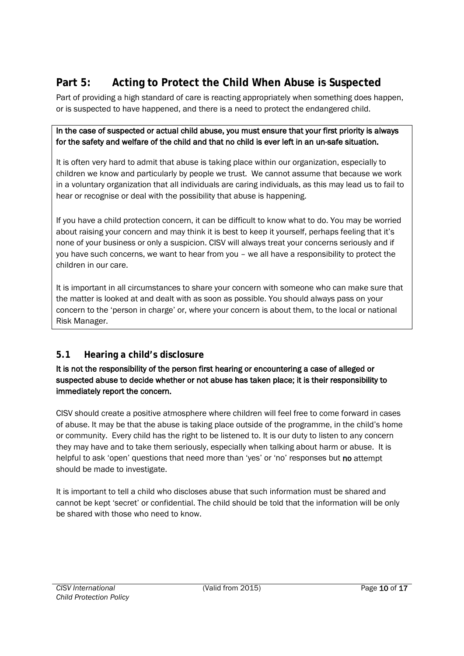# <span id="page-9-0"></span>**Part 5: Acting to Protect the Child When Abuse is Suspected**

Part of providing a high standard of care is reacting appropriately when something does happen, or is suspected to have happened, and there is a need to protect the endangered child.

In the caseof suspected or actual child abuse, youmust ensure that your first priority is always for the safety and welfare of the child and that no child is ever left in an un-safe situation.

It is often very hard to admit that abuse is taking place within our organization, especially to children we know and particularly by people we trust. We cannot assume that because we work in a voluntary organization that all individuals are caring individuals, as this may lead us to fail to hear or recognise or deal with the possibility that abuse is happening.

If you have a child protection concern, it can be difficult to know what to do. You may be worried about raising your concern and may think it is best to keep it yourself, perhaps feeling that it's none of your business or only a suspicion. CISV will always treat your concerns seriously and if you have such concerns, we want to hear from you – we all have a responsibility to protect the children in our care.

It is important in all circumstances to share your concern with someone who can make sure that the matter is looked at and dealt with as soon as possible. You should always pass on your concern to the 'person in charge' or, where your concern is about them, to the local or national Risk Manager.

# <span id="page-9-1"></span>**5.1 Hearing a child's disclosure**

It is not the responsibility of the personfirst hearing or encountering a case of allegedor suspectedabuse to decide whetheror not abuse has taken place; it is their responsibility to immediately report the concern.

CISV should create a positive atmosphere where children will feel free to come forward in cases of abuse. It may be that the abuse is taking place outside of the programme, in the child's home or community. Every child has the right to be listened to. It is our duty to listen to any concern they may have and to take them seriously, especially when talking about harm or abuse. It is helpful to ask 'open' questions that need more than 'yes' or 'no' responses but no attempt should be made to investigate.

It is important to tell a child who discloses abuse that such information must be shared and cannot be kept 'secret' or confidential. The child should be told that the information will be only be shared with those who need to know.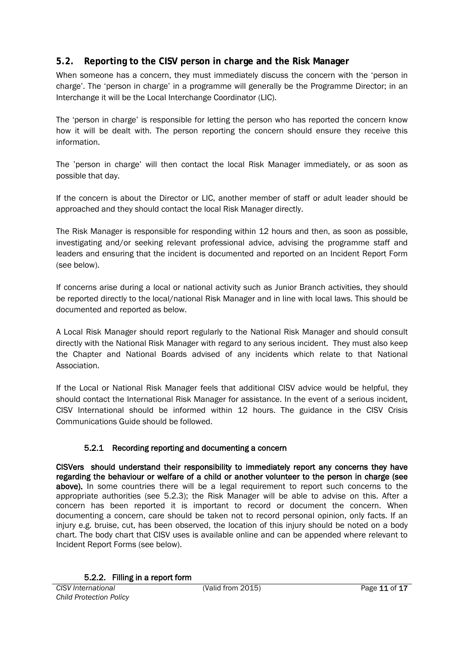#### <span id="page-10-0"></span>**5.2. Reporting to the CISV person in charge and the Risk Manager**

When someone has a concern, they must immediately discuss the concern with the 'person in charge'. The 'person in charge' in a programme will generally be the Programme Director; in an Interchange it will be the Local Interchange Coordinator (LIC).

The 'person in charge' is responsible for letting the person who has reported the concern know how it will be dealt with. The person reporting the concern should ensure they receive this information.

The 'person in charge' will then contact the local Risk Manager immediately, or as soon as possible that day.

If the concern is about the Director or LIC, another member of staff or adult leader should be approached and they should contact the local Risk Manager directly.

The Risk Manager is responsible for responding within 12 hours and then, as soon as possible, investigating and/or seeking relevant professional advice, advising the programme staff and leaders and ensuring that the incident is documented and reported on an Incident Report Form (see below).

If concerns arise during a local or national activity such as Junior Branch activities, they should be reported directly to the local/national Risk Manager and in line with local laws. This should be documented and reported as below.

A Local Risk Manager should report regularly to the National Risk Manager and should consult directly with the National Risk Manager with regard to any serious incident. They must also keep the Chapter and National Boards advised of any incidents which relate to that National Association.

If the Local or National Risk Manager feels that additional CISV advice would be helpful, they should contact the International Risk Manager for assistance. In the event of a serious incident, CISV International should be informed within 12 hours. The guidance in the CISV Crisis Communications Guide should be followed.

#### 5.2.1 Recording reporting and documenting a concern

<span id="page-10-1"></span>CISVers should understand their responsibility to immediately report any concerns they have regarding the behaviour or welfare of a child or another volunteer to the person in charge (see above). In some countries there will be a legal requirement to report such concerns to the appropriate authorities (see 5.2.3); the Risk Manager will be able to advise on this. After a concern has been reported it is important to record or document the concern. When documenting a concern, care should be taken not to record personal opinion, only facts. If an injury e.g. bruise, cut, has been observed, the location of this injury should be noted on a body chart. The body chart that CISV uses is available online and can be appended where relevant to Incident Report Forms (see below).

<span id="page-10-2"></span>5.2.2. Filling in a report form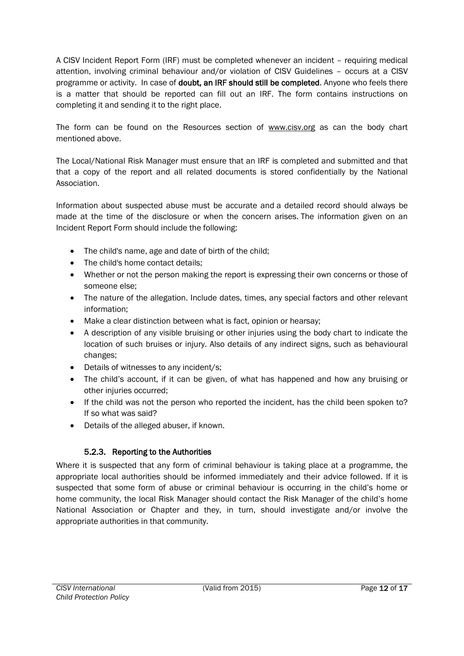A CISV Incident Report Form (IRF) must be completed whenever an incident – requiring medical attention, involving criminal behaviour and/or violation of CISV Guidelines – occurs at a CISV programme or activity. In case of doubt, an IRF should still be completed. Anyone who feels there is a matter that should be reported can fill out an IRF. The form contains instructions on completing it and sending it to the right place.

The form can be found on the Resources section of [www.cisv.org](http://www.cisv.org/) as can the body chart mentioned above.

The Local/National Risk Manager must ensure that an IRF is completed and submitted and that that a copy of the report and all related documents is stored confidentially by the National Association.

Information about suspected abuse must be accurate and a detailed record should always be made at the time of the disclosure or when the concern arises. The information given on an Incident Report Form should include the following:

- The child's name, age and date of birth of the child;
- The child's home contact details;
- Whether or not the person making the report is expressing their own concerns or those of someone else;
- The nature of the allegation. Include dates, times, any special factors and other relevant information;
- Make a clear distinction between what is fact, opinion or hearsay;
- A description of any visible bruising or other injuries using the body chart to indicate the location of such bruises or injury. Also details of any indirect signs, such as behavioural changes;
- Details of witnesses to any incident/s;
- The child's account, if it can be given, of what has happened and how any bruising or other injuries occurred;
- If the child was not the person who reported the incident, has the child been spoken to?If so what was said?
- Details of the alleged abuser, if known.

#### 5.2.3. Reporting to the Authorities

<span id="page-11-0"></span>Where it is suspected that any form of criminal behaviour is taking place at a programme, the appropriate local authorities should be informed immediately and their advice followed. If it is suspected that some form of abuse or criminal behaviour is occurring in the child's home or home community, the local Risk Manager should contact the Risk Manager of the child's home National Association or Chapter and they, in turn, should investigate and/or involve the appropriate authorities in that community.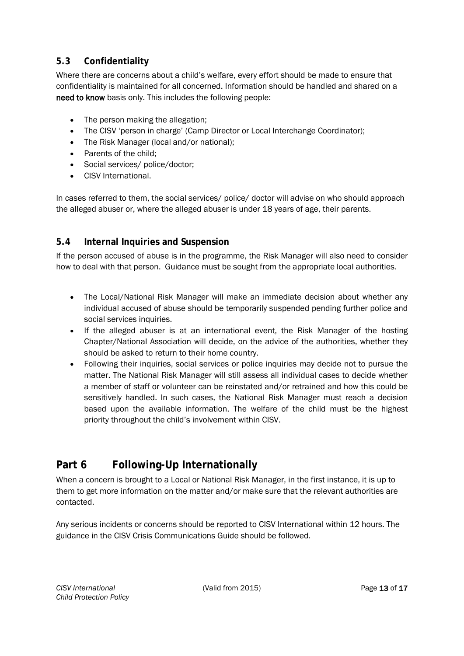#### <span id="page-12-0"></span>**5.3 Confidentiality**

Where there are concerns about a child's welfare, every effort should be made to ensure that confidentiality is maintained for all concerned. Information should be handled and shared on a need to know basis only. This includes the following people:

- The person making the allegation;
- The CISV 'person in charge' (Camp Director or Local Interchange Coordinator);
- The Risk Manager (local and/or national);
- Parents of the child;
- Social services/ police/doctor;
- CISV International.

In cases referred to them, the social services/ police/ doctor will advise on who should approach the alleged abuser or, where the alleged abuser is under 18 years of age, their parents.

#### <span id="page-12-1"></span>**5.4 Internal Inquiries and Suspension**

If the person accused of abuse is in the programme, the Risk Manager will also need to consider how to deal with that person. Guidance must be sought from the appropriate local authorities.

- The Local/National Risk Manager will make an immediate decision about whether any individual accused of abuse should be temporarily suspended pending further police and social services inquiries.
- If the alleged abuser is at an international event, the Risk Manager of the hosting Chapter/National Association will decide, on the advice of the authorities, whether they should be asked to return to their home country.
- Following their inquiries, social services or police inquiries may decide not to pursue the matter. The National Risk Manager will still assess all individual cases to decide whether a member of staff or volunteer can be reinstated and/or retrained and how this could be sensitively handled. In such cases, the National Risk Manager must reach a decision based upon the available information. The welfare of the child must be the highest priority throughout the child's involvement within CISV.

# <span id="page-12-2"></span>**Part 6 Following-Up Internationally**

When a concern is brought to a Local or National Risk Manager, in the first instance, it is up to them to get more information on the matter and/or make sure that the relevant authorities are contacted.

Any serious incidents or concerns should be reported to CISV International within 12 hours. The guidance in the CISV Crisis Communications Guide should be followed.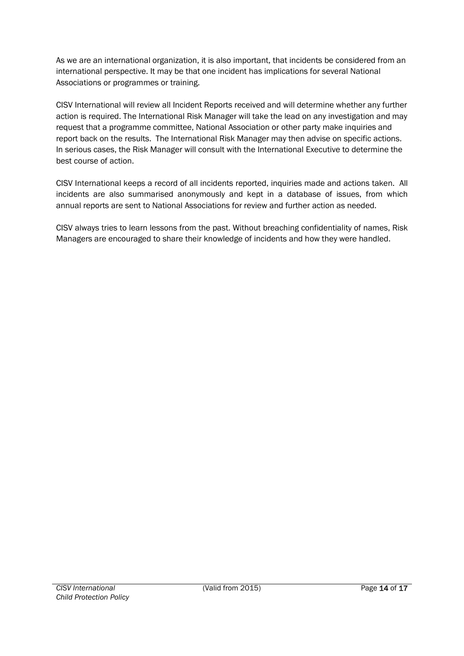As we are an international organization, it is also important, that incidents be considered from an international perspective. It may be that one incident has implications for several National Associations or programmes or training.

CISV International will review all Incident Reports received and will determine whether any further action is required. The International Risk Manager will take the lead on any investigation and may request that a programme committee, National Association or other party make inquiries and report back on the results. The International Risk Manager may then advise on specific actions. In serious cases, the Risk Manager will consult with the International Executive to determine the best course of action.

CISV International keeps a record of all incidents reported, inquiries made and actions taken. All incidents are also summarised anonymously and kept in a database of issues, from which annual reports are sent to National Associations for review and further action as needed.

CISV always tries to learn lessons from the past. Without breaching confidentiality of names, Risk Managers are encouraged to share their knowledge of incidents and how they were handled.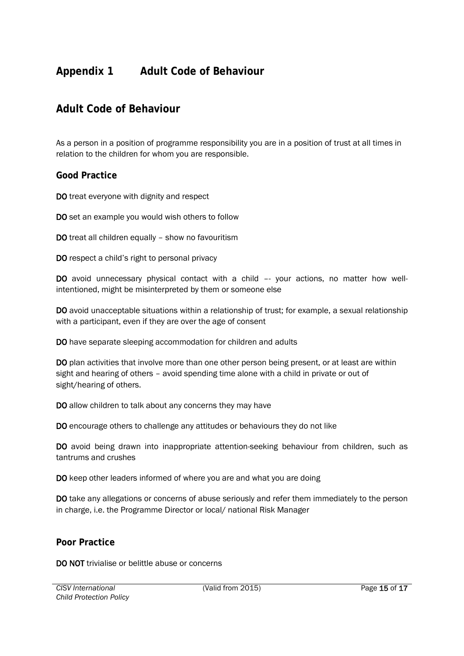# <span id="page-14-0"></span>**Appendix 1 Adult Code of Behaviour**

#### <span id="page-14-1"></span>**Adult Code of Behaviour**

As a person in a position of programme responsibility you are in a position of trust at all times in relation to the children for whom you are responsible.

#### <span id="page-14-2"></span>**Good Practice**

**DO** treat everyone with dignity and respect

**DO** set an example you would wish others to follow

**DO**treat all children equally – show no favouritism

**DO** respect a child's right to personal privacy

**DO** avoid unnecessary physical contact with a child -- your actions, no matter how wellintentioned, might be misinterpreted by them or someone else

**DO** avoid unacceptable situations within a relationship of trust; for example, a sexual relationship with a participant, even if they are over the age of consent

**DO**have separate sleeping accommodation for children and adults

**DO** plan activities that involve more than one other person being present, or at least are within sight and hearing of others – avoid spending time alone with a child in private or out of sight/ hearing of others.

**DO** allow children to talk about any concerns they may have

**DO** encourage others to challenge any attitudes or behaviours they do not like

**DO** avoid being drawn into inappropriate attention-seeking behaviour from children, such as tantrums and crushes

**DO** keep other leaders informed of where you are and what you are doing

**DO** take any allegations or concerns of abuse seriously and refer them immediately to the person in charge, i.e. the Programme Director or local/ national Risk Manager

#### <span id="page-14-3"></span>**Poor Practice**

**DO NOT** trivialise or belittle abuse or concerns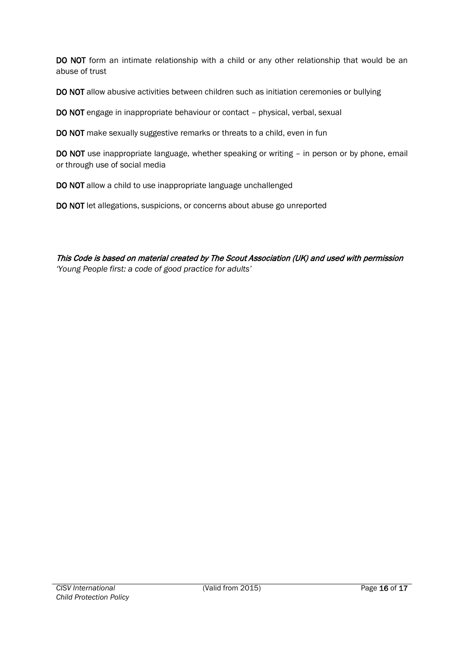**DO NOT** form an intimate relationship with a child or any other relationship that would be an abuse of trust

**DO NOT** allow abusive activities between children such as initiation ceremonies or bullying

**DO NOT** engage in inappropriate behaviour or contact – physical, verbal, sexual

**DO NOT** make sexually suggestive remarks or threats to a child, even in fun

**DO NOT** use inappropriate language, whether speaking or writing – in person or by phone, email or through use of social media

**DO NOT** allow a child to use inappropriate language unchallenged

**DO NOT** let allegations, suspicions, or concerns about abuse go unreported

This Code is based on material created by The Scout Association (UK) and used with permission 'Young People first: a code of good practice for adults'